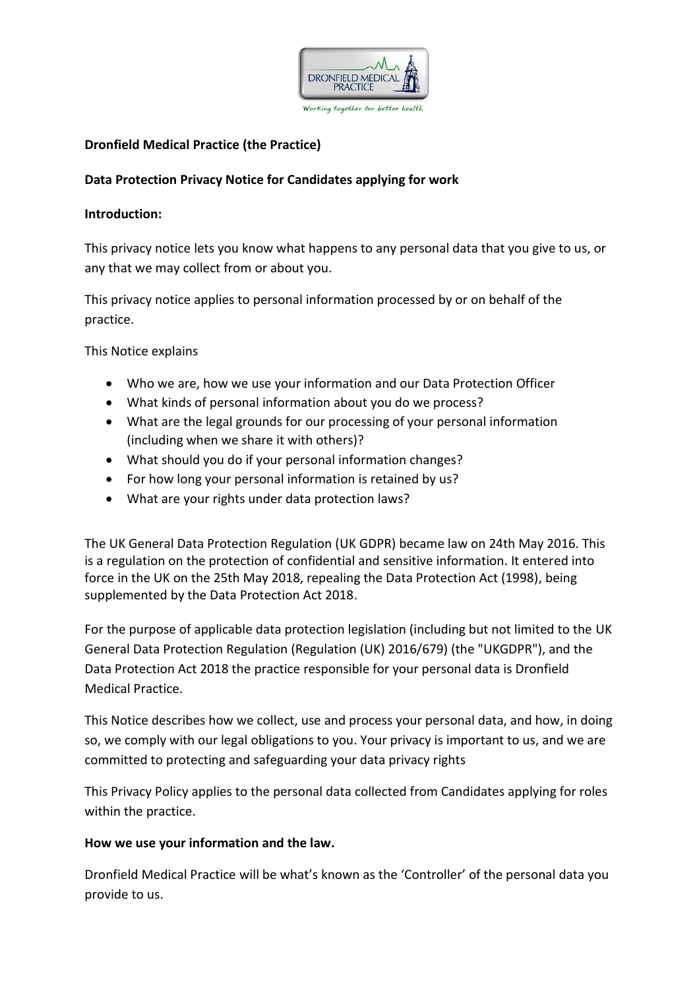

# **Dronfield Medical Practice (the Practice)**

# **Data Protection Privacy Notice for Candidates applying for work**

#### **Introduction:**

This privacy notice lets you know what happens to any personal data that you give to us, or any that we may collect from or about you.

This privacy notice applies to personal information processed by or on behalf of the practice.

This Notice explains

- Who we are, how we use your information and our Data Protection Officer
- What kinds of personal information about you do we process?
- What are the legal grounds for our processing of your personal information (including when we share it with others)?
- What should you do if your personal information changes?
- For how long your personal information is retained by us?
- What are your rights under data protection laws?

The UK General Data Protection Regulation (UK GDPR) became law on 24th May 2016. This is a regulation on the protection of confidential and sensitive information. It entered into force in the UK on the 25th May 2018, repealing the Data Protection Act (1998), being supplemented by the Data Protection Act 2018.

For the purpose of applicable data protection legislation (including but not limited to the UK General Data Protection Regulation (Regulation (UK) 2016/679) (the "UKGDPR"), and the Data Protection Act 2018 the practice responsible for your personal data is Dronfield Medical Practice.

This Notice describes how we collect, use and process your personal data, and how, in doing so, we comply with our legal obligations to you. Your privacy is important to us, and we are committed to protecting and safeguarding your data privacy rights

This Privacy Policy applies to the personal data collected from Candidates applying for roles within the practice.

# **How we use your information and the law.**

Dronfield Medical Practice will be what's known as the 'Controller' of the personal data you provide to us.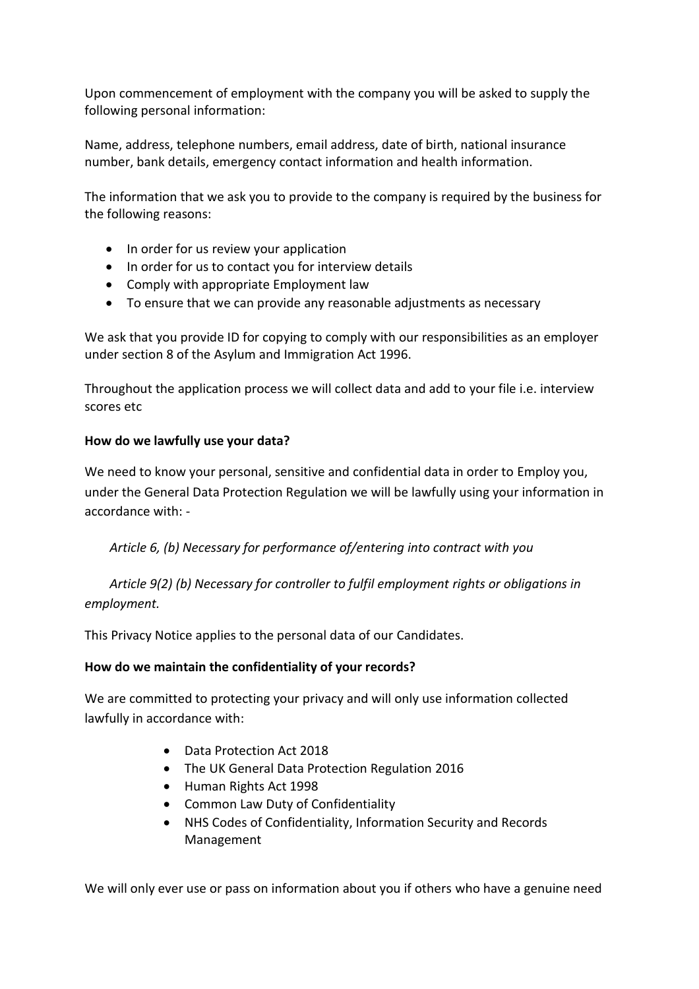Upon commencement of employment with the company you will be asked to supply the following personal information:

Name, address, telephone numbers, email address, date of birth, national insurance number, bank details, emergency contact information and health information.

The information that we ask you to provide to the company is required by the business for the following reasons:

- In order for us review your application
- In order for us to contact you for interview details
- Comply with appropriate Employment law
- To ensure that we can provide any reasonable adjustments as necessary

We ask that you provide ID for copying to comply with our responsibilities as an employer under section 8 of the Asylum and Immigration Act 1996.

Throughout the application process we will collect data and add to your file i.e. interview scores etc

# **How do we lawfully use your data?**

We need to know your personal, sensitive and confidential data in order to Employ you, under the General Data Protection Regulation we will be lawfully using your information in accordance with: -

*Article 6, (b) Necessary for performance of/entering into contract with you*

*Article 9(2) (b) Necessary for controller to fulfil employment rights or obligations in employment.*

This Privacy Notice applies to the personal data of our Candidates.

# **How do we maintain the confidentiality of your records?**

We are committed to protecting your privacy and will only use information collected lawfully in accordance with:

- Data Protection Act 2018
- The UK General Data Protection Regulation 2016
- Human Rights Act 1998
- Common Law Duty of Confidentiality
- NHS Codes of Confidentiality, Information Security and Records Management

We will only ever use or pass on information about you if others who have a genuine need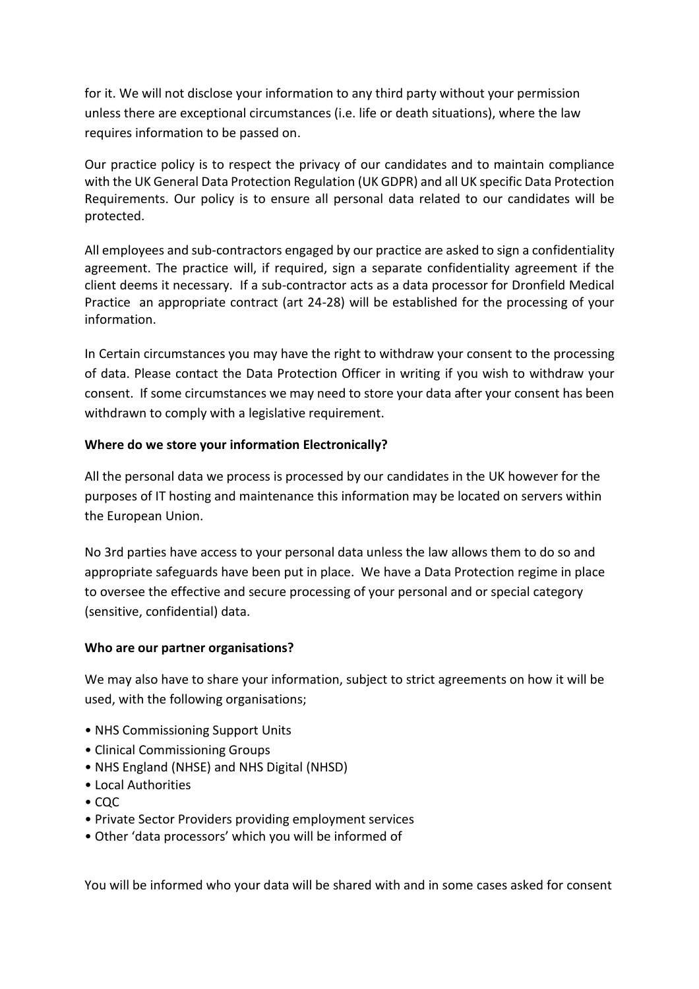for it. We will not disclose your information to any third party without your permission unless there are exceptional circumstances (i.e. life or death situations), where the law requires information to be passed on.

Our practice policy is to respect the privacy of our candidates and to maintain compliance with the UK General Data Protection Regulation (UK GDPR) and all UK specific Data Protection Requirements. Our policy is to ensure all personal data related to our candidates will be protected.

All employees and sub-contractors engaged by our practice are asked to sign a confidentiality agreement. The practice will, if required, sign a separate confidentiality agreement if the client deems it necessary. If a sub-contractor acts as a data processor for Dronfield Medical Practice an appropriate contract (art 24-28) will be established for the processing of your information.

In Certain circumstances you may have the right to withdraw your consent to the processing of data. Please contact the Data Protection Officer in writing if you wish to withdraw your consent. If some circumstances we may need to store your data after your consent has been withdrawn to comply with a legislative requirement.

# **Where do we store your information Electronically?**

All the personal data we process is processed by our candidates in the UK however for the purposes of IT hosting and maintenance this information may be located on servers within the European Union.

No 3rd parties have access to your personal data unless the law allows them to do so and appropriate safeguards have been put in place. We have a Data Protection regime in place to oversee the effective and secure processing of your personal and or special category (sensitive, confidential) data.

# **Who are our partner organisations?**

We may also have to share your information, subject to strict agreements on how it will be used, with the following organisations;

- NHS Commissioning Support Units
- Clinical Commissioning Groups
- NHS England (NHSE) and NHS Digital (NHSD)
- Local Authorities
- CQC
- Private Sector Providers providing employment services
- Other 'data processors' which you will be informed of

You will be informed who your data will be shared with and in some cases asked for consent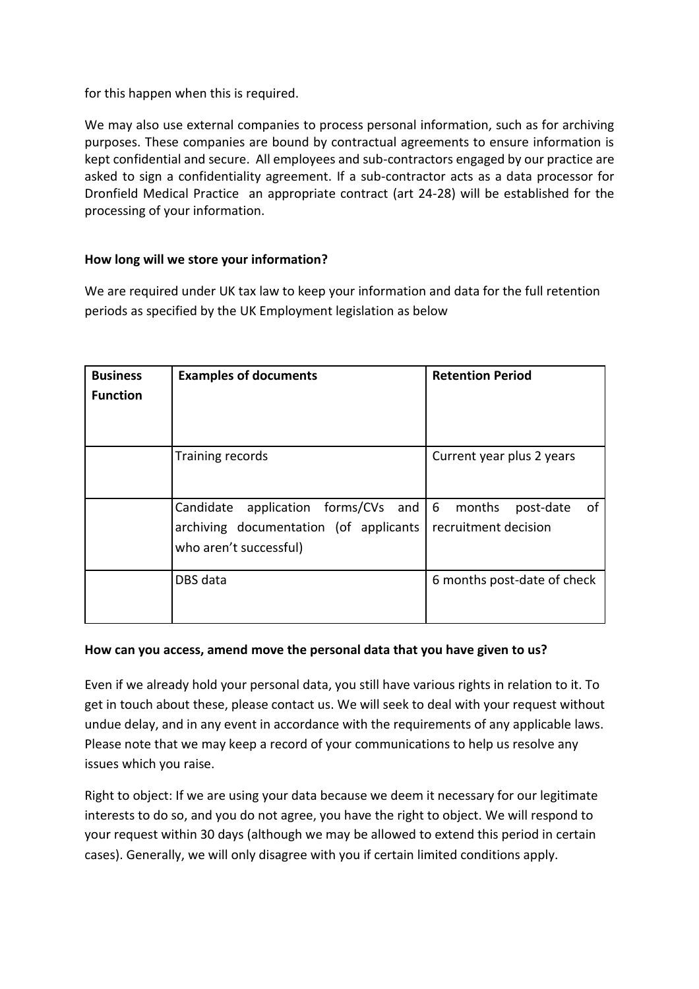for this happen when this is required.

We may also use external companies to process personal information, such as for archiving purposes. These companies are bound by contractual agreements to ensure information is kept confidential and secure. All employees and sub-contractors engaged by our practice are asked to sign a confidentiality agreement. If a sub-contractor acts as a data processor for Dronfield Medical Practice an appropriate contract (art 24-28) will be established for the processing of your information.

# **How long will we store your information?**

We are required under UK tax law to keep your information and data for the full retention periods as specified by the UK Employment legislation as below

| <b>Business</b><br><b>Function</b> | <b>Examples of documents</b>                                                                                     | <b>Retention Period</b>                  |
|------------------------------------|------------------------------------------------------------------------------------------------------------------|------------------------------------------|
|                                    | Training records                                                                                                 | Current year plus 2 years                |
|                                    | Candidate application forms/CVs and 6 months<br>archiving documentation (of applicants<br>who aren't successful) | post-date<br>-of<br>recruitment decision |
|                                    | DBS data                                                                                                         | 6 months post-date of check              |

#### **How can you access, amend move the personal data that you have given to us?**

Even if we already hold your personal data, you still have various rights in relation to it. To get in touch about these, please contact us. We will seek to deal with your request without undue delay, and in any event in accordance with the requirements of any applicable laws. Please note that we may keep a record of your communications to help us resolve any issues which you raise.

Right to object: If we are using your data because we deem it necessary for our legitimate interests to do so, and you do not agree, you have the right to object. We will respond to your request within 30 days (although we may be allowed to extend this period in certain cases). Generally, we will only disagree with you if certain limited conditions apply.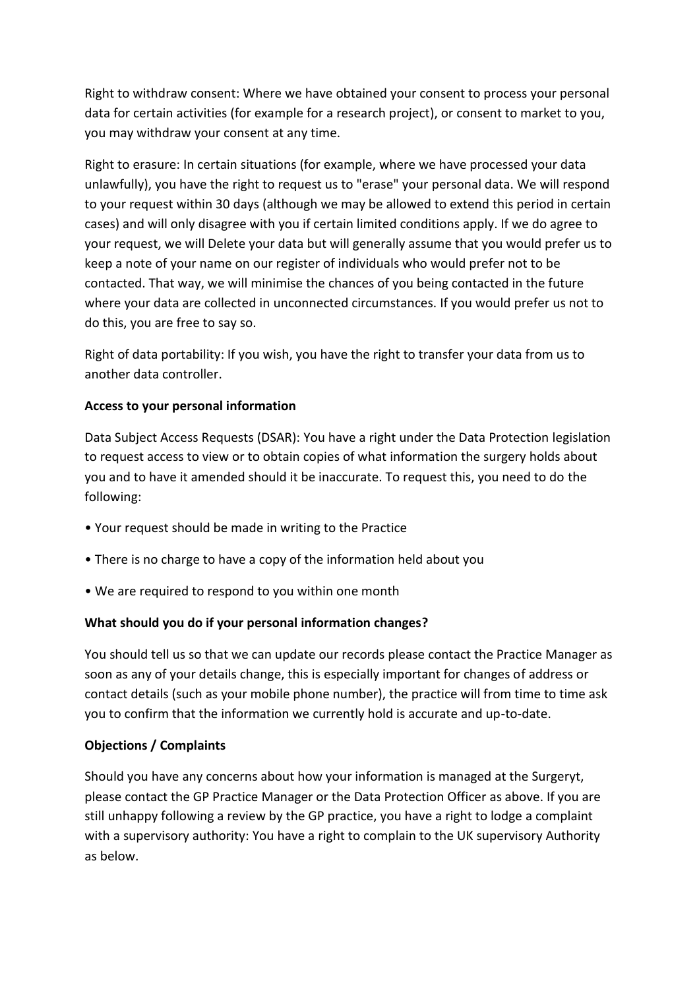Right to withdraw consent: Where we have obtained your consent to process your personal data for certain activities (for example for a research project), or consent to market to you, you may withdraw your consent at any time.

Right to erasure: In certain situations (for example, where we have processed your data unlawfully), you have the right to request us to "erase" your personal data. We will respond to your request within 30 days (although we may be allowed to extend this period in certain cases) and will only disagree with you if certain limited conditions apply. If we do agree to your request, we will Delete your data but will generally assume that you would prefer us to keep a note of your name on our register of individuals who would prefer not to be contacted. That way, we will minimise the chances of you being contacted in the future where your data are collected in unconnected circumstances. If you would prefer us not to do this, you are free to say so.

Right of data portability: If you wish, you have the right to transfer your data from us to another data controller.

# **Access to your personal information**

Data Subject Access Requests (DSAR): You have a right under the Data Protection legislation to request access to view or to obtain copies of what information the surgery holds about you and to have it amended should it be inaccurate. To request this, you need to do the following:

- Your request should be made in writing to the Practice
- There is no charge to have a copy of the information held about you
- We are required to respond to you within one month

# **What should you do if your personal information changes?**

You should tell us so that we can update our records please contact the Practice Manager as soon as any of your details change, this is especially important for changes of address or contact details (such as your mobile phone number), the practice will from time to time ask you to confirm that the information we currently hold is accurate and up-to-date.

# **Objections / Complaints**

Should you have any concerns about how your information is managed at the Surgeryt, please contact the GP Practice Manager or the Data Protection Officer as above. If you are still unhappy following a review by the GP practice, you have a right to lodge a complaint with a supervisory authority: You have a right to complain to the UK supervisory Authority as below.